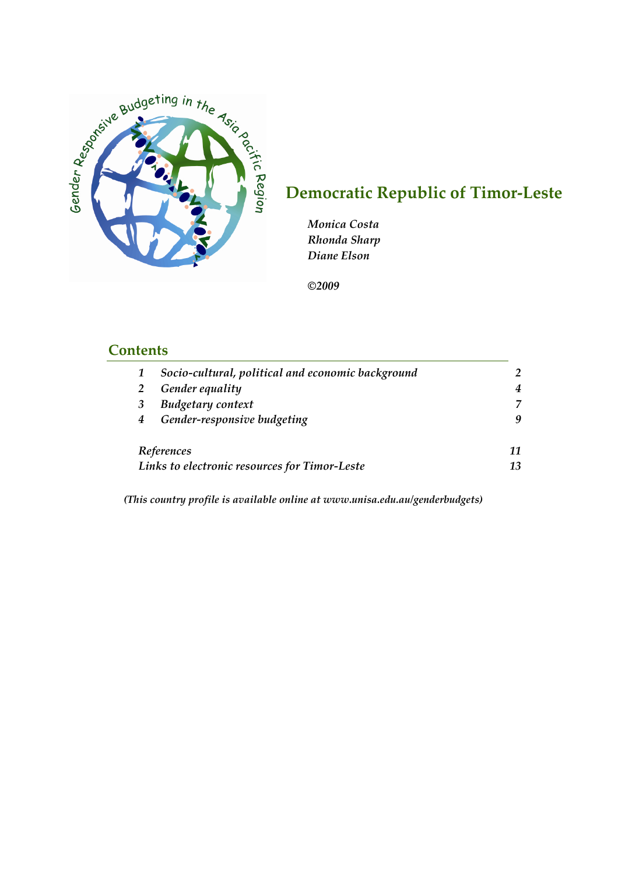

# **Democratic Republic of Timor‐Leste**

*Monica Costa Rhonda Sharp Diane Elson*

*©2009*

## **Contents**

|                                               | Socio-cultural, political and economic background |    |
|-----------------------------------------------|---------------------------------------------------|----|
|                                               | Gender equality                                   | 4  |
|                                               | <b>Budgetary context</b>                          |    |
| 4                                             | Gender-responsive budgeting                       | q  |
|                                               | References                                        | 11 |
| Links to electronic resources for Timor-Leste |                                                   | 13 |

*(This country profile is available online at [www.unisa.edu.au/genderbudgets\)](http://www.unisa.edu.au/genderbudgets)*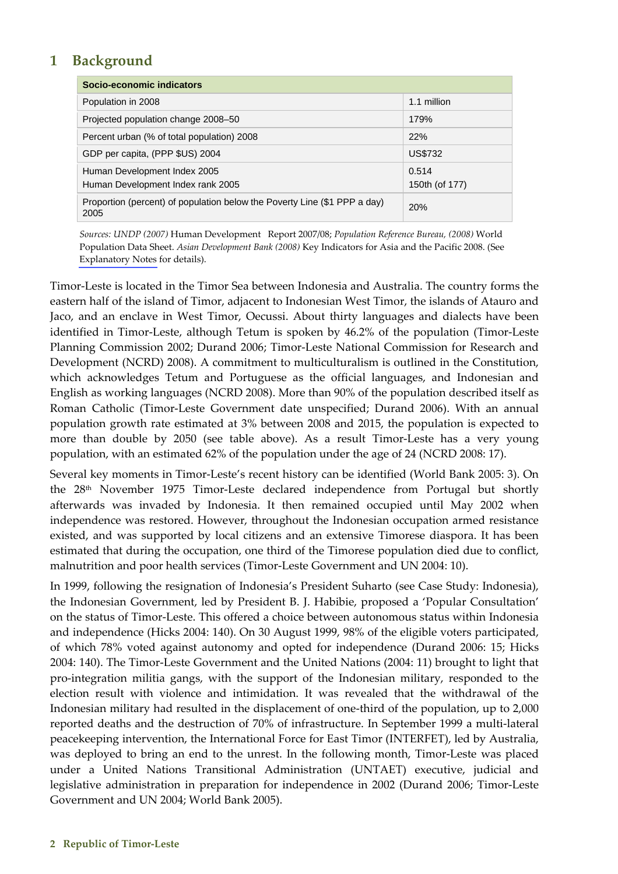# **1 Background**

| Socio-economic indicators                                                         |                         |  |  |
|-----------------------------------------------------------------------------------|-------------------------|--|--|
| Population in 2008                                                                | 1.1 million             |  |  |
| Projected population change 2008–50                                               | 179%                    |  |  |
| Percent urban (% of total population) 2008                                        | 22%                     |  |  |
| GDP per capita, (PPP \$US) 2004                                                   | <b>US\$732</b>          |  |  |
| Human Development Index 2005<br>Human Development Index rank 2005                 | 0.514<br>150th (of 177) |  |  |
| Proportion (percent) of population below the Poverty Line (\$1 PPP a day)<br>2005 | <b>20%</b>              |  |  |

*Sources: UNDP (2007)* Human Development Report 2007/08; *Population Reference Bureau, (2008)* World Population Data Sheet. *Asian Development Bank (2008)* Key Indicators for Asia and the Pacific 2008. (See [Explanatory](http://resource.unisa.edu.au/mod/resource/view.php?id=7334) Notes for details).

Timor‐Leste is located in the Timor Sea between Indonesia and Australia. The country forms the eastern half of the island of Timor, adjacent to Indonesian West Timor, the islands of Atauro and Jaco, and an enclave in West Timor, Oecussi. About thirty languages and dialects have been identified in Timor‐Leste, although Tetum is spoken by 46.2% of the population (Timor‐Leste Planning Commission 2002; Durand 2006; Timor‐Leste National Commission for Research and Development (NCRD) 2008). A commitment to multiculturalism is outlined in the Constitution, which acknowledges Tetum and Portuguese as the official languages, and Indonesian and English as working languages (NCRD 2008). More than 90% of the population described itself as Roman Catholic (Timor‐Leste Government date unspecified; Durand 2006). With an annual population growth rate estimated at 3% between 2008 and 2015, the population is expected to more than double by 2050 (see table above). As a result Timor‐Leste has a very young population, with an estimated 62% of the population under the age of 24 (NCRD 2008: 17).

Several key moments in Timor-Leste's recent history can be identified (World Bank 2005: 3). On the 28th November 1975 Timor‐Leste declared independence from Portugal but shortly afterwards was invaded by Indonesia. It then remained occupied until May 2002 when independence was restored. However, throughout the Indonesian occupation armed resistance existed, and was supported by local citizens and an extensive Timorese diaspora. It has been estimated that during the occupation, one third of the Timorese population died due to conflict, malnutrition and poor health services (Timor‐Leste Government and UN 2004: 10).

In 1999, following the resignation of Indonesia's President Suharto (see Case Study: Indonesia), the Indonesian Government, led by President B. J. Habibie, proposed a 'Popular Consultation' on the status of Timor‐Leste. This offered a choice between autonomous status within Indonesia and independence (Hicks 2004: 140). On 30 August 1999, 98% of the eligible voters participated, of which 78% voted against autonomy and opted for independence (Durand 2006: 15; Hicks 2004: 140). The Timor‐Leste Government and the United Nations (2004: 11) brought to light that pro‐integration militia gangs, with the support of the Indonesian military, responded to the election result with violence and intimidation. It was revealed that the withdrawal of the Indonesian military had resulted in the displacement of one‐third of the population, up to 2,000 reported deaths and the destruction of 70% of infrastructure. In September 1999 a multi-lateral peacekeeping intervention, the International Force for East Timor (INTERFET), led by Australia, was deployed to bring an end to the unrest. In the following month, Timor-Leste was placed under a United Nations Transitional Administration (UNTAET) executive, judicial and legislative administration in preparation for independence in 2002 (Durand 2006; Timor‐Leste Government and UN 2004; World Bank 2005).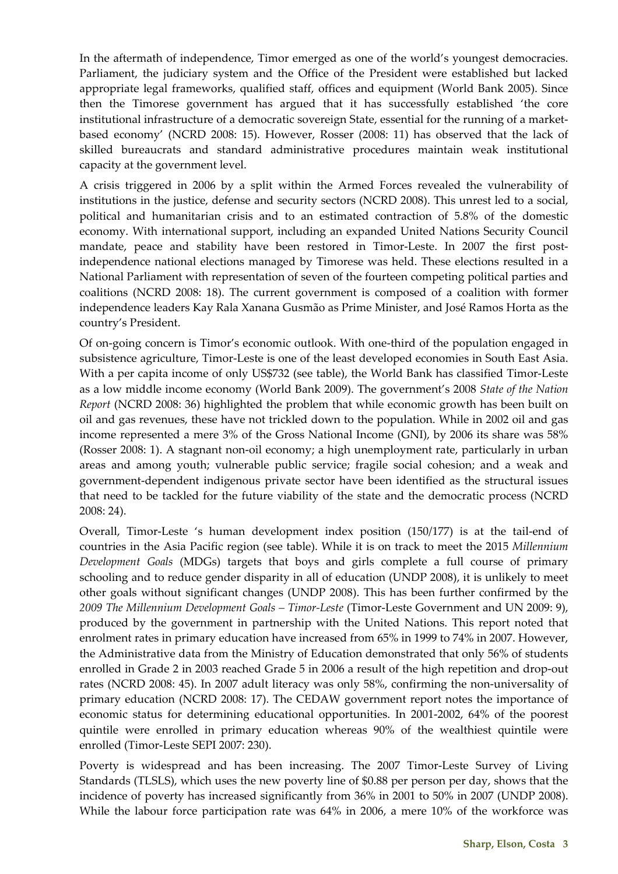In the aftermath of independence, Timor emerged as one of the world's youngest democracies. Parliament, the judiciary system and the Office of the President were established but lacked appropriate legal frameworks, qualified staff, offices and equipment (World Bank 2005). Since then the Timorese government has argued that it has successfully established 'the core institutional infrastructure of a democratic sovereign State, essential for the running of a marketbased economy' (NCRD 2008: 15). However, Rosser (2008: 11) has observed that the lack of skilled bureaucrats and standard administrative procedures maintain weak institutional capacity at the government level.

A crisis triggered in 2006 by a split within the Armed Forces revealed the vulnerability of institutions in the justice, defense and security sectors (NCRD 2008). This unrest led to a social, political and humanitarian crisis and to an estimated contraction of 5.8% of the domestic economy. With international support, including an expanded United Nations Security Council mandate, peace and stability have been restored in Timor-Leste. In 2007 the first postindependence national elections managed by Timorese was held. These elections resulted in a National Parliament with representation of seven of the fourteen competing political parties and coalitions (NCRD 2008: 18). The current government is composed of a coalition with former independence leaders Kay Rala Xanana Gusmão as Prime Minister, and José Ramos Horta as the country's President.

Of on‐going concern is Timor's economic outlook. With one‐third of the population engaged in subsistence agriculture, Timor‐Leste is one of the least developed economies in South East Asia. With a per capita income of only US\$732 (see table), the World Bank has classified Timor‐Leste as a low middle income economy (World Bank 2009). The government's 2008 *State of the Nation Report* (NCRD 2008: 36) highlighted the problem that while economic growth has been built on oil and gas revenues, these have not trickled down to the population. While in 2002 oil and gas income represented a mere 3% of the Gross National Income (GNI), by 2006 its share was 58% (Rosser 2008: 1). A stagnant non‐oil economy; a high unemployment rate, particularly in urban areas and among youth; vulnerable public service; fragile social cohesion; and a weak and government‐dependent indigenous private sector have been identified as the structural issues that need to be tackled for the future viability of the state and the democratic process (NCRD 2008: 24).

Overall, Timor‐Leste 's human development index position (150/177) is at the tail‐end of countries in the Asia Pacific region (see table). While it is on track to meet the 2015 *Millennium Development Goals* (MDGs) targets that boys and girls complete a full course of primary schooling and to reduce gender disparity in all of education (UNDP 2008), it is unlikely to meet other goals without significant changes (UNDP 2008). This has been further confirmed by the *2009 The Millennium Development Goals – Timor‐Leste* (Timor‐Leste Government and UN 2009: 9), produced by the government in partnership with the United Nations. This report noted that enrolment rates in primary education have increased from 65% in 1999 to 74% in 2007. However, the Administrative data from the Ministry of Education demonstrated that only 56% of students enrolled in Grade 2 in 2003 reached Grade 5 in 2006 a result of the high repetition and drop-out rates (NCRD 2008: 45). In 2007 adult literacy was only 58%, confirming the non-universality of primary education (NCRD 2008: 17). The CEDAW government report notes the importance of economic status for determining educational opportunities. In 2001‐2002, 64% of the poorest quintile were enrolled in primary education whereas 90% of the wealthiest quintile were enrolled (Timor‐Leste SEPI 2007: 230).

Poverty is widespread and has been increasing. The 2007 Timor-Leste Survey of Living Standards (TLSLS), which uses the new poverty line of \$0.88 per person per day, shows that the incidence of poverty has increased significantly from 36% in 2001 to 50% in 2007 (UNDP 2008). While the labour force participation rate was 64% in 2006, a mere 10% of the workforce was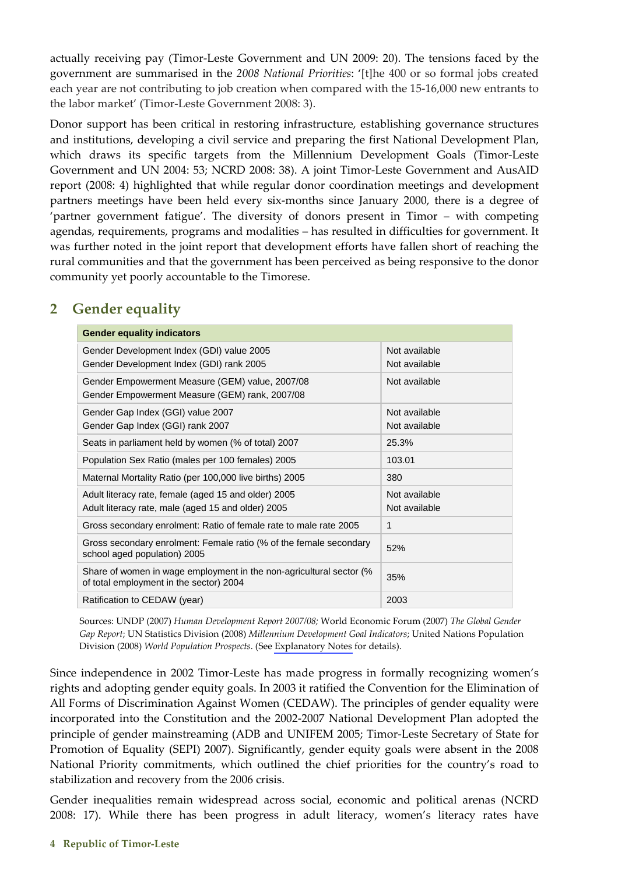actually receiving pay (Timor‐Leste Government and UN 2009: 20). The tensions faced by the government are summarised in the *2008 National Priorities*: '[t]he 400 or so formal jobs created each year are not contributing to job creation when compared with the 15‐16,000 new entrants to the labor market' (Timor‐Leste Government 2008: 3).

Donor support has been critical in restoring infrastructure, establishing governance structures and institutions, developing a civil service and preparing the first National Development Plan, which draws its specific targets from the Millennium Development Goals (Timor-Leste Government and UN 2004: 53; NCRD 2008: 38). A joint Timor‐Leste Government and AusAID report (2008: 4) highlighted that while regular donor coordination meetings and development partners meetings have been held every six-months since January 2000, there is a degree of 'partner government fatigue'. The diversity of donors present in Timor – with competing agendas, requirements, programs and modalities – has resulted in difficulties for government. It was further noted in the joint report that development efforts have fallen short of reaching the rural communities and that the government has been perceived as being responsive to the donor community yet poorly accountable to the Timorese.

# **2 Gender equality**

| <b>Gender equality indicators</b>                                                                              |                                |  |  |
|----------------------------------------------------------------------------------------------------------------|--------------------------------|--|--|
| Gender Development Index (GDI) value 2005<br>Gender Development Index (GDI) rank 2005                          | Not available<br>Not available |  |  |
| Gender Empowerment Measure (GEM) value, 2007/08<br>Gender Empowerment Measure (GEM) rank, 2007/08              | Not available                  |  |  |
| Gender Gap Index (GGI) value 2007<br>Gender Gap Index (GGI) rank 2007                                          | Not available<br>Not available |  |  |
| Seats in parliament held by women (% of total) 2007                                                            | 25.3%                          |  |  |
| Population Sex Ratio (males per 100 females) 2005                                                              | 103.01                         |  |  |
| Maternal Mortality Ratio (per 100,000 live births) 2005                                                        | 380                            |  |  |
| Adult literacy rate, female (aged 15 and older) 2005<br>Adult literacy rate, male (aged 15 and older) 2005     | Not available<br>Not available |  |  |
| Gross secondary enrolment: Ratio of female rate to male rate 2005                                              | 1                              |  |  |
| Gross secondary enrolment: Female ratio (% of the female secondary<br>school aged population) 2005             | 52%                            |  |  |
| Share of women in wage employment in the non-agricultural sector (%<br>of total employment in the sector) 2004 | 35%                            |  |  |
| Ratification to CEDAW (year)                                                                                   | 2003                           |  |  |

Sources: UNDP (2007) *Human Development Report 2007/08;* World Economic Forum (2007) *The Global Gender Gap Report*; UN Statistics Division (2008) *Millennium Development Goal Indicators*; United Nations Population Division (2008) *World Population Prospects*. (See [Explanatory](http://resource.unisa.edu.au/mod/resource/view.php?id=7334) Notes for details).

Since independence in 2002 Timor-Leste has made progress in formally recognizing women's rights and adopting gender equity goals. In 2003 it ratified the Convention for the Elimination of All Forms of Discrimination Against Women (CEDAW). The principles of gender equality were incorporated into the Constitution and the 2002‐2007 National Development Plan adopted the principle of gender mainstreaming (ADB and UNIFEM 2005; Timor‐Leste Secretary of State for Promotion of Equality (SEPI) 2007). Significantly, gender equity goals were absent in the 2008 National Priority commitments, which outlined the chief priorities for the country's road to stabilization and recovery from the 2006 crisis.

Gender inequalities remain widespread across social, economic and political arenas (NCRD 2008: 17). While there has been progress in adult literacy, women's literacy rates have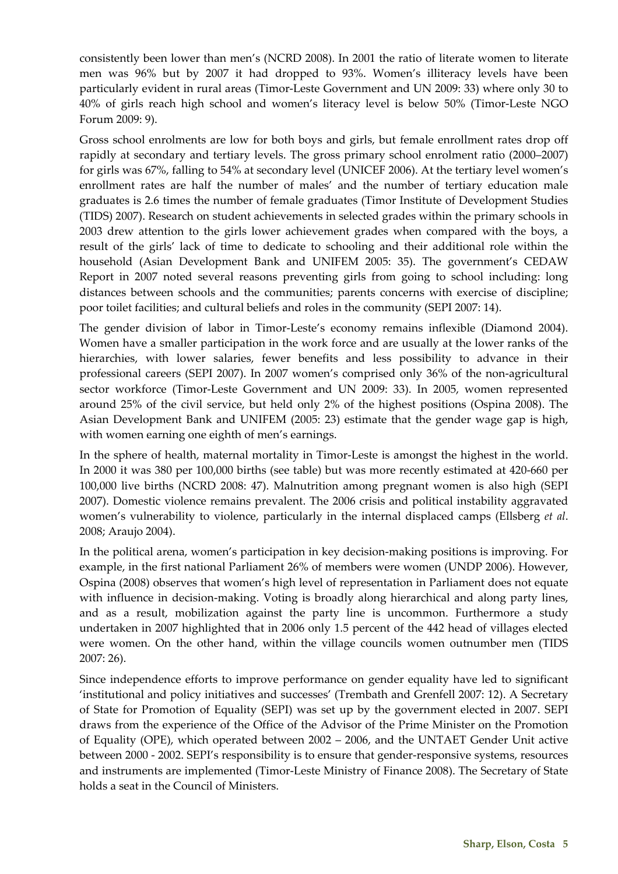consistently been lower than men's (NCRD 2008). In 2001 the ratio of literate women to literate men was 96% but by 2007 it had dropped to 93%. Women's illiteracy levels have been particularly evident in rural areas (Timor‐Leste Government and UN 2009: 33) where only 30 to 40% of girls reach high school and women's literacy level is below 50% (Timor‐Leste NGO Forum 2009: 9).

Gross school enrolments are low for both boys and girls, but female enrollment rates drop off rapidly at secondary and tertiary levels. The gross primary school enrolment ratio (2000–2007) for girls was 67%, falling to 54% at secondary level (UNICEF 2006). At the tertiary level women's enrollment rates are half the number of males' and the number of tertiary education male graduates is 2.6 times the number of female graduates (Timor Institute of Development Studies (TIDS) 2007). Research on student achievements in selected grades within the primary schools in 2003 drew attention to the girls lower achievement grades when compared with the boys, a result of the girls' lack of time to dedicate to schooling and their additional role within the household (Asian Development Bank and UNIFEM 2005: 35). The government's CEDAW Report in 2007 noted several reasons preventing girls from going to school including: long distances between schools and the communities; parents concerns with exercise of discipline; poor toilet facilities; and cultural beliefs and roles in the community (SEPI 2007: 14).

The gender division of labor in Timor‐Leste's economy remains inflexible (Diamond 2004). Women have a smaller participation in the work force and are usually at the lower ranks of the hierarchies, with lower salaries, fewer benefits and less possibility to advance in their professional careers (SEPI 2007). In 2007 women's comprised only 36% of the non‐agricultural sector workforce (Timor-Leste Government and UN 2009: 33). In 2005, women represented around 25% of the civil service, but held only 2% of the highest positions (Ospina 2008). The Asian Development Bank and UNIFEM (2005: 23) estimate that the gender wage gap is high, with women earning one eighth of men's earnings.

In the sphere of health, maternal mortality in Timor-Leste is amongst the highest in the world. In 2000 it was 380 per 100,000 births (see table) but was more recently estimated at 420‐660 per 100,000 live births (NCRD 2008: 47). Malnutrition among pregnant women is also high (SEPI 2007). Domestic violence remains prevalent. The 2006 crisis and political instability aggravated women's vulnerability to violence, particularly in the internal displaced camps (Ellsberg *et al*. 2008; Araujo 2004).

In the political arena, women's participation in key decision-making positions is improving. For example, in the first national Parliament 26% of members were women (UNDP 2006). However, Ospina (2008) observes that women's high level of representation in Parliament does not equate with influence in decision-making. Voting is broadly along hierarchical and along party lines, and as a result, mobilization against the party line is uncommon. Furthermore a study undertaken in 2007 highlighted that in 2006 only 1.5 percent of the 442 head of villages elected were women. On the other hand, within the village councils women outnumber men (TIDS 2007: 26).

Since independence efforts to improve performance on gender equality have led to significant 'institutional and policy initiatives and successes' (Trembath and Grenfell 2007: 12). A Secretary of State for Promotion of Equality (SEPI) was set up by the government elected in 2007. SEPI draws from the experience of the Office of the Advisor of the Prime Minister on the Promotion of Equality (OPE), which operated between 2002 – 2006, and the UNTAET Gender Unit active between 2000 ‐ 2002. SEPI's responsibility is to ensure that gender‐responsive systems, resources and instruments are implemented (Timor‐Leste Ministry of Finance 2008). The Secretary of State holds a seat in the Council of Ministers.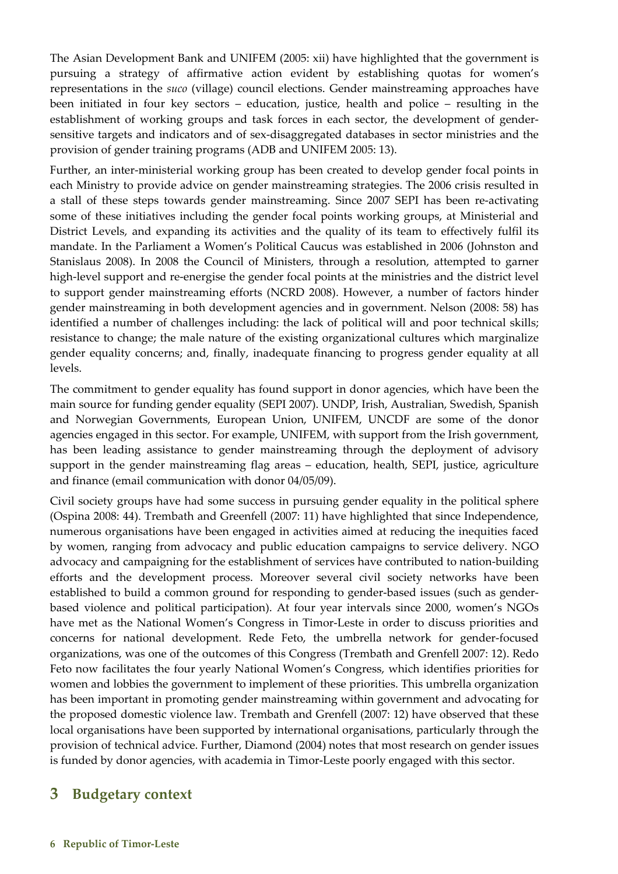The Asian Development Bank and UNIFEM (2005: xii) have highlighted that the government is pursuing a strategy of affirmative action evident by establishing quotas for women's representations in the *suco* (village) council elections. Gender mainstreaming approaches have been initiated in four key sectors – education, justice, health and police – resulting in the establishment of working groups and task forces in each sector, the development of gender‐ sensitive targets and indicators and of sex‐disaggregated databases in sector ministries and the provision of gender training programs (ADB and UNIFEM 2005: 13).

Further, an inter-ministerial working group has been created to develop gender focal points in each Ministry to provide advice on gender mainstreaming strategies. The 2006 crisis resulted in a stall of these steps towards gender mainstreaming. Since 2007 SEPI has been re‐activating some of these initiatives including the gender focal points working groups, at Ministerial and District Levels, and expanding its activities and the quality of its team to effectively fulfil its mandate. In the Parliament a Women's Political Caucus was established in 2006 (Johnston and Stanislaus 2008). In 2008 the Council of Ministers, through a resolution, attempted to garner high-level support and re-energise the gender focal points at the ministries and the district level to support gender mainstreaming efforts (NCRD 2008). However, a number of factors hinder gender mainstreaming in both development agencies and in government. Nelson (2008: 58) has identified a number of challenges including: the lack of political will and poor technical skills; resistance to change; the male nature of the existing organizational cultures which marginalize gender equality concerns; and, finally, inadequate financing to progress gender equality at all levels.

The commitment to gender equality has found support in donor agencies, which have been the main source for funding gender equality (SEPI 2007). UNDP, Irish, Australian, Swedish, Spanish and Norwegian Governments, European Union, UNIFEM, UNCDF are some of the donor agencies engaged in this sector. For example, UNIFEM, with support from the Irish government, has been leading assistance to gender mainstreaming through the deployment of advisory support in the gender mainstreaming flag areas – education, health, SEPI, justice, agriculture and finance (email communication with donor 04/05/09).

Civil society groups have had some success in pursuing gender equality in the political sphere (Ospina 2008: 44). Trembath and Greenfell (2007: 11) have highlighted that since Independence, numerous organisations have been engaged in activities aimed at reducing the inequities faced by women, ranging from advocacy and public education campaigns to service delivery. NGO advocacy and campaigning for the establishment of services have contributed to nation‐building efforts and the development process. Moreover several civil society networks have been established to build a common ground for responding to gender‐based issues (such as gender‐ based violence and political participation). At four year intervals since 2000, women's NGOs have met as the National Women's Congress in Timor-Leste in order to discuss priorities and concerns for national development. Rede Feto, the umbrella network for gender‐focused organizations, was one of the outcomes of this Congress (Trembath and Grenfell 2007: 12). Redo Feto now facilitates the four yearly National Women's Congress, which identifies priorities for women and lobbies the government to implement of these priorities. This umbrella organization has been important in promoting gender mainstreaming within government and advocating for the proposed domestic violence law. Trembath and Grenfell (2007: 12) have observed that these local organisations have been supported by international organisations, particularly through the provision of technical advice. Further, Diamond (2004) notes that most research on gender issues is funded by donor agencies, with academia in Timor‐Leste poorly engaged with this sector.

### **3 Budgetary context**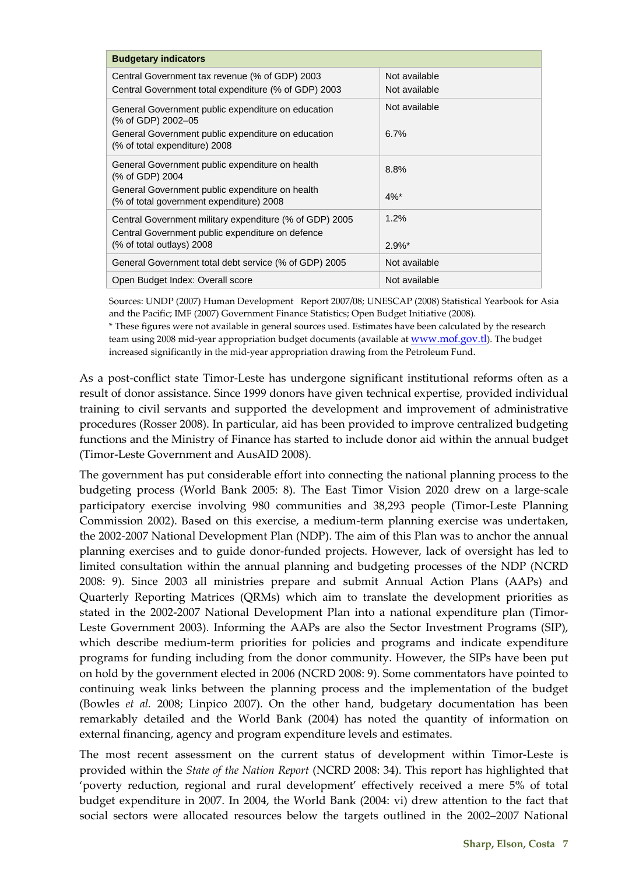| <b>Budgetary indicators</b>                                                                                                              |                                |  |  |
|------------------------------------------------------------------------------------------------------------------------------------------|--------------------------------|--|--|
| Central Government tax revenue (% of GDP) 2003<br>Central Government total expenditure (% of GDP) 2003                                   | Not available<br>Not available |  |  |
| General Government public expenditure on education<br>(% of GDP) 2002-05                                                                 | Not available                  |  |  |
| General Government public expenditure on education<br>(% of total expenditure) 2008                                                      | 6.7%                           |  |  |
| General Government public expenditure on health<br>(% of GDP) 2004                                                                       | 8.8%                           |  |  |
| General Government public expenditure on health<br>(% of total government expenditure) 2008                                              | $4\%$ *                        |  |  |
| Central Government military expenditure (% of GDP) 2005<br>Central Government public expenditure on defence<br>(% of total outlays) 2008 | 1.2%<br>$2.9\%$ *              |  |  |
| General Government total debt service (% of GDP) 2005                                                                                    | Not available                  |  |  |
| Open Budget Index: Overall score                                                                                                         | Not available                  |  |  |

Sources: UNDP (2007) Human Development Report 2007/08; UNESCAP (2008) Statistical Yearbook for Asia and the Pacific; IMF (2007) Government Finance Statistics; Open Budget Initiative (2008).

\* These figures were not available in general sources used. Estimates have been calculated by the research team using 2008 mid-year appropriation budget documents (available at [www.mof.gov.tl](http://www.mof.gov.tl)). The budget increased significantly in the mid‐year appropriation drawing from the Petroleum Fund.

As a post-conflict state Timor-Leste has undergone significant institutional reforms often as a result of donor assistance. Since 1999 donors have given technical expertise, provided individual training to civil servants and supported the development and improvement of administrative procedures (Rosser 2008). In particular, aid has been provided to improve centralized budgeting functions and the Ministry of Finance has started to include donor aid within the annual budget (Timor‐Leste Government and AusAID 2008).

The government has put considerable effort into connecting the national planning process to the budgeting process (World Bank 2005: 8). The East Timor Vision 2020 drew on a large-scale participatory exercise involving 980 communities and 38,293 people (Timor‐Leste Planning Commission 2002). Based on this exercise, a medium‐term planning exercise was undertaken, the 2002‐2007 National Development Plan (NDP). The aim of this Plan was to anchor the annual planning exercises and to guide donor‐funded projects. However, lack of oversight has led to limited consultation within the annual planning and budgeting processes of the NDP (NCRD 2008: 9). Since 2003 all ministries prepare and submit Annual Action Plans (AAPs) and Quarterly Reporting Matrices (QRMs) which aim to translate the development priorities as stated in the 2002-2007 National Development Plan into a national expenditure plan (Timor-Leste Government 2003). Informing the AAPs are also the Sector Investment Programs (SIP), which describe medium-term priorities for policies and programs and indicate expenditure programs for funding including from the donor community. However, the SIPs have been put on hold by the government elected in 2006 (NCRD 2008: 9). Some commentators have pointed to continuing weak links between the planning process and the implementation of the budget (Bowles *et al.* 2008; Linpico 2007). On the other hand, budgetary documentation has been remarkably detailed and the World Bank (2004) has noted the quantity of information on external financing, agency and program expenditure levels and estimates.

The most recent assessment on the current status of development within Timor-Leste is provided within the *State of the Nation Report* (NCRD 2008: 34). This report has highlighted that 'poverty reduction, regional and rural development' effectively received a mere 5% of total budget expenditure in 2007. In 2004, the World Bank (2004: vi) drew attention to the fact that social sectors were allocated resources below the targets outlined in the 2002–2007 National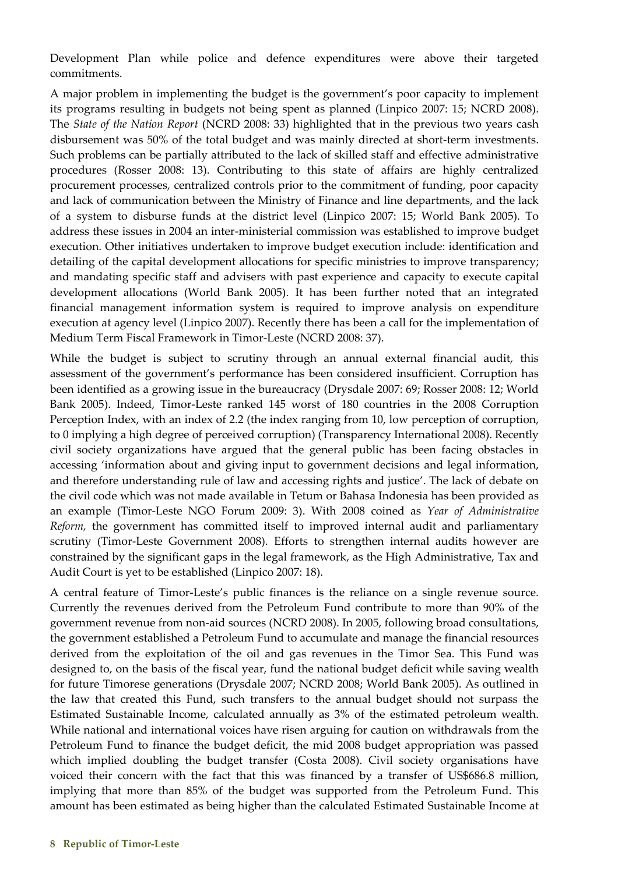Development Plan while police and defence expenditures were above their targeted commitments.

A major problem in implementing the budget is the government's poor capacity to implement its programs resulting in budgets not being spent as planned (Linpico 2007: 15; NCRD 2008). The *State of the Nation Report* (NCRD 2008: 33) highlighted that in the previous two years cash disbursement was 50% of the total budget and was mainly directed at short-term investments. Such problems can be partially attributed to the lack of skilled staff and effective administrative procedures (Rosser 2008: 13). Contributing to this state of affairs are highly centralized procurement processes, centralized controls prior to the commitment of funding, poor capacity and lack of communication between the Ministry of Finance and line departments, and the lack of a system to disburse funds at the district level (Linpico 2007: 15; World Bank 2005). To address these issues in 2004 an inter‐ministerial commission was established to improve budget execution. Other initiatives undertaken to improve budget execution include: identification and detailing of the capital development allocations for specific ministries to improve transparency; and mandating specific staff and advisers with past experience and capacity to execute capital development allocations (World Bank 2005). It has been further noted that an integrated financial management information system is required to improve analysis on expenditure execution at agency level (Linpico 2007). Recently there has been a call for the implementation of Medium Term Fiscal Framework in Timor‐Leste (NCRD 2008: 37).

While the budget is subject to scrutiny through an annual external financial audit, this assessment of the government's performance has been considered insufficient. Corruption has been identified as a growing issue in the bureaucracy (Drysdale 2007: 69; Rosser 2008: 12; World Bank 2005). Indeed, Timor‐Leste ranked 145 worst of 180 countries in the 2008 Corruption Perception Index, with an index of 2.2 (the index ranging from 10, low perception of corruption, to 0 implying a high degree of perceived corruption) (Transparency International 2008). Recently civil society organizations have argued that the general public has been facing obstacles in accessing 'information about and giving input to government decisions and legal information, and therefore understanding rule of law and accessing rights and justice'. The lack of debate on the civil code which was not made available in Tetum or Bahasa Indonesia has been provided as an example (Timor‐Leste NGO Forum 2009: 3). With 2008 coined as *Year of Administrative Reform,* the government has committed itself to improved internal audit and parliamentary scrutiny (Timor-Leste Government 2008). Efforts to strengthen internal audits however are constrained by the significant gaps in the legal framework, as the High Administrative, Tax and Audit Court is yet to be established (Linpico 2007: 18).

A central feature of Timor‐Leste's public finances is the reliance on a single revenue source. Currently the revenues derived from the Petroleum Fund contribute to more than 90% of the government revenue from non‐aid sources (NCRD 2008). In 2005, following broad consultations, the government established a Petroleum Fund to accumulate and manage the financial resources derived from the exploitation of the oil and gas revenues in the Timor Sea. This Fund was designed to, on the basis of the fiscal year, fund the national budget deficit while saving wealth for future Timorese generations (Drysdale 2007; NCRD 2008; World Bank 2005). As outlined in the law that created this Fund, such transfers to the annual budget should not surpass the Estimated Sustainable Income, calculated annually as 3% of the estimated petroleum wealth. While national and international voices have risen arguing for caution on withdrawals from the Petroleum Fund to finance the budget deficit, the mid 2008 budget appropriation was passed which implied doubling the budget transfer (Costa 2008). Civil society organisations have voiced their concern with the fact that this was financed by a transfer of US\$686.8 million, implying that more than 85% of the budget was supported from the Petroleum Fund. This amount has been estimated as being higher than the calculated Estimated Sustainable Income at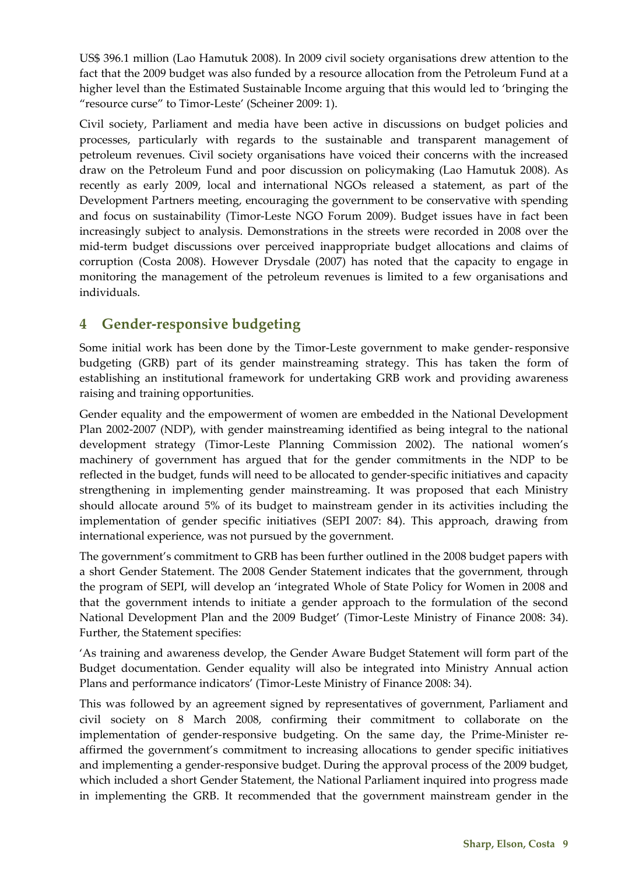US\$ 396.1 million (Lao Hamutuk 2008). In 2009 civil society organisations drew attention to the fact that the 2009 budget was also funded by a resource allocation from the Petroleum Fund at a higher level than the Estimated Sustainable Income arguing that this would led to 'bringing the "resource curse" to Timor‐Leste' (Scheiner 2009: 1).

Civil society, Parliament and media have been active in discussions on budget policies and processes, particularly with regards to the sustainable and transparent management of petroleum revenues. Civil society organisations have voiced their concerns with the increased draw on the Petroleum Fund and poor discussion on policymaking (Lao Hamutuk 2008). As recently as early 2009, local and international NGOs released a statement, as part of the Development Partners meeting, encouraging the government to be conservative with spending and focus on sustainability (Timor‐Leste NGO Forum 2009). Budget issues have in fact been increasingly subject to analysis. Demonstrations in the streets were recorded in 2008 over the mid-term budget discussions over perceived inappropriate budget allocations and claims of corruption (Costa 2008). However Drysdale (2007) has noted that the capacity to engage in monitoring the management of the petroleum revenues is limited to a few organisations and individuals.

## **4 Gender‐responsive budgeting**

Some initial work has been done by the Timor-Leste government to make gender-responsive budgeting (GRB) part of its gender mainstreaming strategy. This has taken the form of establishing an institutional framework for undertaking GRB work and providing awareness raising and training opportunities.

Gender equality and the empowerment of women are embedded in the National Development Plan 2002‐2007 (NDP), with gender mainstreaming identified as being integral to the national development strategy (Timor‐Leste Planning Commission 2002). The national women's machinery of government has argued that for the gender commitments in the NDP to be reflected in the budget, funds will need to be allocated to gender‐specific initiatives and capacity strengthening in implementing gender mainstreaming. It was proposed that each Ministry should allocate around 5% of its budget to mainstream gender in its activities including the implementation of gender specific initiatives (SEPI 2007: 84). This approach, drawing from international experience, was not pursued by the government.

The government's commitment to GRB has been further outlined in the 2008 budget papers with a short Gender Statement. The 2008 Gender Statement indicates that the government, through the program of SEPI, will develop an 'integrated Whole of State Policy for Women in 2008 and that the government intends to initiate a gender approach to the formulation of the second National Development Plan and the 2009 Budget' (Timor‐Leste Ministry of Finance 2008: 34). Further, the Statement specifies:

'As training and awareness develop, the Gender Aware Budget Statement will form part of the Budget documentation. Gender equality will also be integrated into Ministry Annual action Plans and performance indicators' (Timor‐Leste Ministry of Finance 2008: 34).

This was followed by an agreement signed by representatives of government, Parliament and civil society on 8 March 2008, confirming their commitment to collaborate on the implementation of gender-responsive budgeting. On the same day, the Prime-Minister reaffirmed the government's commitment to increasing allocations to gender specific initiatives and implementing a gender‐responsive budget. During the approval process of the 2009 budget, which included a short Gender Statement, the National Parliament inquired into progress made in implementing the GRB. It recommended that the government mainstream gender in the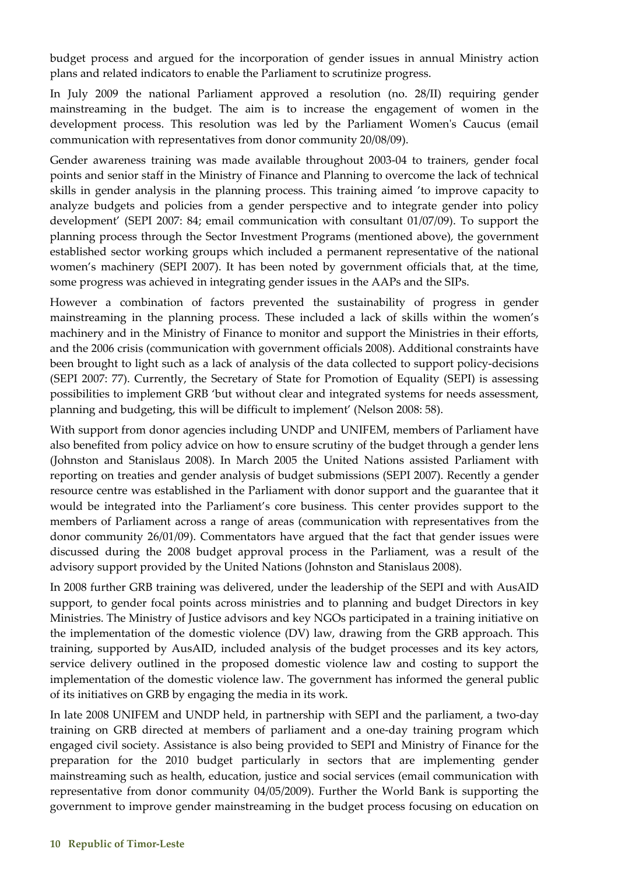budget process and argued for the incorporation of gender issues in annual Ministry action plans and related indicators to enable the Parliament to scrutinize progress.

In July 2009 the national Parliament approved a resolution (no. 28/II) requiring gender mainstreaming in the budget. The aim is to increase the engagement of women in the development process. This resolution was led by the Parliament Women's Caucus (email communication with representatives from donor community 20/08/09).

Gender awareness training was made available throughout 2003‐04 to trainers, gender focal points and senior staff in the Ministry of Finance and Planning to overcome the lack of technical skills in gender analysis in the planning process. This training aimed 'to improve capacity to analyze budgets and policies from a gender perspective and to integrate gender into policy development' (SEPI 2007: 84; email communication with consultant 01/07/09). To support the planning process through the Sector Investment Programs (mentioned above), the government established sector working groups which included a permanent representative of the national women's machinery (SEPI 2007). It has been noted by government officials that, at the time, some progress was achieved in integrating gender issues in the AAPs and the SIPs.

However a combination of factors prevented the sustainability of progress in gender mainstreaming in the planning process. These included a lack of skills within the women's machinery and in the Ministry of Finance to monitor and support the Ministries in their efforts, and the 2006 crisis (communication with government officials 2008). Additional constraints have been brought to light such as a lack of analysis of the data collected to support policy-decisions (SEPI 2007: 77). Currently, the Secretary of State for Promotion of Equality (SEPI) is assessing possibilities to implement GRB 'but without clear and integrated systems for needs assessment, planning and budgeting, this will be difficult to implement' (Nelson 2008: 58).

With support from donor agencies including UNDP and UNIFEM, members of Parliament have also benefited from policy advice on how to ensure scrutiny of the budget through a gender lens (Johnston and Stanislaus 2008). In March 2005 the United Nations assisted Parliament with reporting on treaties and gender analysis of budget submissions (SEPI 2007). Recently a gender resource centre was established in the Parliament with donor support and the guarantee that it would be integrated into the Parliament's core business. This center provides support to the members of Parliament across a range of areas (communication with representatives from the donor community 26/01/09). Commentators have argued that the fact that gender issues were discussed during the 2008 budget approval process in the Parliament, was a result of the advisory support provided by the United Nations (Johnston and Stanislaus 2008).

In 2008 further GRB training was delivered, under the leadership of the SEPI and with AusAID support, to gender focal points across ministries and to planning and budget Directors in key Ministries. The Ministry of Justice advisors and key NGOs participated in a training initiative on the implementation of the domestic violence (DV) law, drawing from the GRB approach. This training, supported by AusAID, included analysis of the budget processes and its key actors, service delivery outlined in the proposed domestic violence law and costing to support the implementation of the domestic violence law. The government has informed the general public of its initiatives on GRB by engaging the media in its work.

In late 2008 UNIFEM and UNDP held, in partnership with SEPI and the parliament, a two-day training on GRB directed at members of parliament and a one‐day training program which engaged civil society. Assistance is also being provided to SEPI and Ministry of Finance for the preparation for the 2010 budget particularly in sectors that are implementing gender mainstreaming such as health, education, justice and social services (email communication with representative from donor community 04/05/2009). Further the World Bank is supporting the government to improve gender mainstreaming in the budget process focusing on education on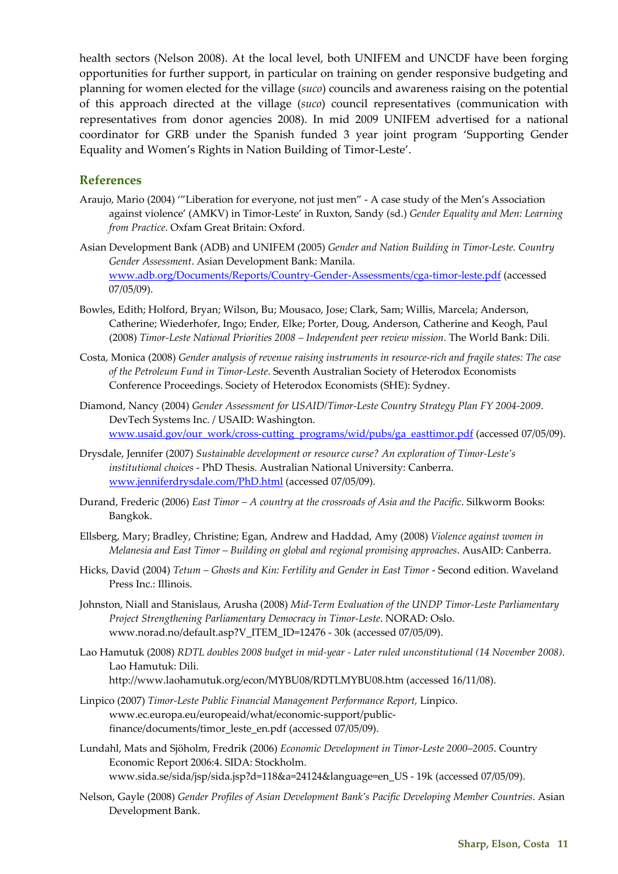health sectors (Nelson 2008). At the local level, both UNIFEM and UNCDF have been forging opportunities for further support, in particular on training on gender responsive budgeting and planning for women elected for the village (*suco*) councils and awareness raising on the potential of this approach directed at the village (*suco*) council representatives (communication with representatives from donor agencies 2008). In mid 2009 UNIFEM advertised for a national coordinator for GRB under the Spanish funded 3 year joint program 'Supporting Gender Equality and Women's Rights in Nation Building of Timor‐Leste'.

#### **References**

- Araujo, Mario (2004) '"Liberation for everyone, not just men" ‐ A case study of the Men's Association against violence' (AMKV) in Timor‐Leste' in Ruxton, Sandy (sd.) *Gender Equality and Men: Learning from Practice*. Oxfam Great Britain: Oxford.
- Asian Development Bank (ADB) and UNIFEM (2005) *Gender and Nation Building in Timor‐Leste. Country Gender Assessment*. Asian Development Bank: Manila. [www.adb.org/Documents/Reports/Country](http://www.adb.org/Documents/Reports/Country%E2%80%90Gender%E2%80%90Assessments/cga%E2%80%90timor%E2%80%90leste.pdf)‐Gender‐Assessments/cga‐timor‐leste.pdf (accessed 07/05/09).
- Bowles, Edith; Holford, Bryan; Wilson, Bu; Mousaco, Jose; Clark, Sam; Willis, Marcela; Anderson, Catherine; Wiederhofer, Ingo; Ender, Elke; Porter, Doug, Anderson, Catherine and Keogh, Paul (2008) *Timor‐Leste National Priorities 2008 – Independent peer review mission*. The World Bank: Dili.
- Costa, Monica (2008) *Gender analysis of revenue raising instruments in resource‐rich and fragile states: The case of the Petroleum Fund in Timor‐Leste*. Seventh Australian Society of Heterodox Economists Conference Proceedings. Society of Heterodox Economists (SHE): Sydney.
- Diamond, Nancy (2004) *Gender Assessment for USAID/Timor‐Leste Country Strategy Plan FY 2004‐2009*. DevTech Systems Inc. / USAID: Washington. www.usaid.gov/our\_work/cross-[cutting\\_programs/wid/pubs/ga\\_easttimor.pdf](http://www.usaid.gov/our_work/cross%E2%80%90cutting_programs/wid/pubs/ga_easttimor.pdf) (accessed 07/05/09).
- Drysdale, Jennifer (2007) *Sustainable development or resource curse? An exploration of Timor‐Leste's institutional choices* ‐ PhD Thesis. Australian National University: Canberra. [www.jenniferdrysdale.com/PhD.html](http://www.jenniferdrysdale.com/PhD.html) (accessed 07/05/09).
- Durand, Frederic (2006) *East Timor – A country at the crossroads of Asia and the Pacific*. Silkworm Books: Bangkok.
- Ellsberg, Mary; Bradley, Christine; Egan, Andrew and Haddad, Amy (2008) *Violence against women in Melanesia and East Timor – Building on global and regional promising approaches*. AusAID: Canberra.
- Hicks, David (2004) *Tetum – Ghosts and Kin: Fertility and Gender in East Timor* ‐ Second edition. Waveland Press Inc.: Illinois.
- Johnston, Niall and Stanislaus, Arusha (2008) *Mid‐Term Evaluation of the UNDP Timor‐Leste Parliamentary Project Strengthening Parliamentary Democracy in Timor‐Leste*. NORAD: Oslo. [www.norad.no/default.asp?V\\_ITEM\\_ID=12476](http://www.norad.no/default.asp?V_ITEM_ID=12476) ‐ 30k (accessed 07/05/09).
- Lao Hamutuk (2008) *RDTL doubles 2008 budget in mid‐year ‐ Later ruled unconstitutional (14 November 2008)*. Lao Hamutuk: Dili. <http://www.laohamutuk.org/econ/MYBU08/RDTLMYBU08.htm> (accessed 16/11/08).
- Linpico (2007) *Timor‐Leste Public Financial Management Performance Report,* Linpico. [www.ec.europa.eu/europeaid/what/economic](http://www.ec.europa.eu/europeaid/what/economic%E2%80%90support/public%E2%80%90finance/documents/timor_leste_en.pdf)‐support/public‐ finance[/documents/timor\\_leste\\_en.pdf](http://www.ec.europa.eu/europeaid/what/economic%E2%80%90support/public%E2%80%90finance/documents/timor_leste_en.pdf) (accessed 07/05/09).
- Lundahl, Mats and Sjöholm, Fredrik (2006) *Economic Development in Timor‐Leste 2000–2005*. Country Economic Report 2006:4. SIDA: Stockholm. [www.sida.se/sida/jsp/sida.jsp?d=118&a=24124&language=en\\_US](http://www.sida.se/sida/jsp/sida.jsp?d=118&a=24124&language=en_US) ‐ 19k (accessed 07/05/09).
- Nelson, Gayle (2008) *Gender Profiles of Asian Development Bank's Pacific Developing Member Countries*. Asian Development Bank.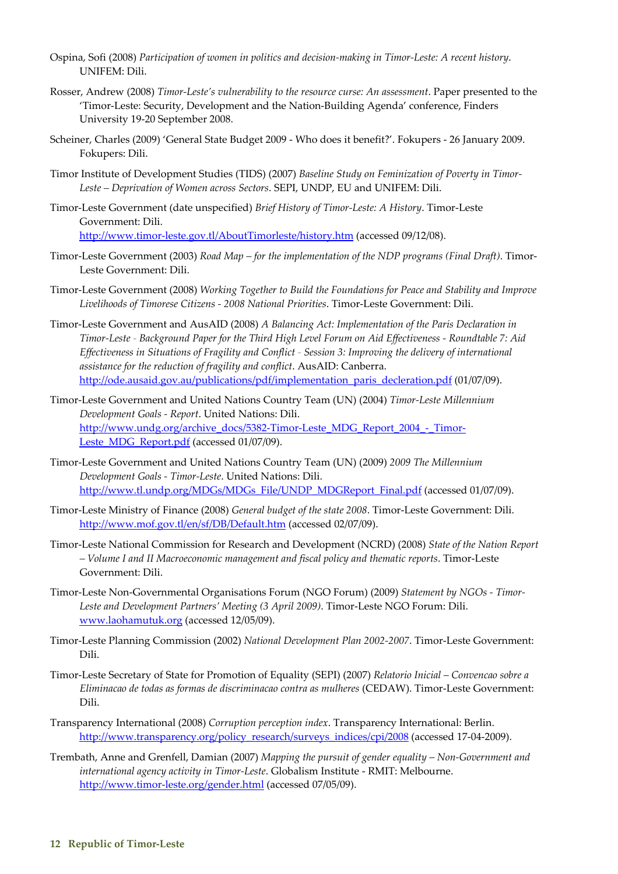- Ospina, Sofi (2008) *Participation of women in politics and decision‐making in Timor‐Leste: A recent history*. UNIFEM: Dili.
- Rosser, Andrew (2008) *Timor‐Leste's vulnerability to the resource curse: An assessment*. Paper presented to the 'Timor‐Leste: Security, Development and the Nation‐Building Agenda' conference, Finders University 19‐20 September 2008.
- Scheiner, Charles (2009) 'General State Budget 2009 ‐ Who does it benefit?'. Fokupers ‐ 26 January 2009. Fokupers: Dili.
- Timor Institute of Development Studies (TIDS) (2007) *Baseline Study on Feminization of Poverty in Timor‐ Leste – Deprivation of Women across Sectors*. SEPI, UNDP, EU and UNIFEM: Dili.
- Timor‐Leste Government (date unspecified) *Brief History of Timor‐Leste: A History*. Timor‐Leste Government: Dili. http://www.timor-[leste.gov.tl/AboutTimorleste/history.htm](http://www.timor%E2%80%90leste.gov.tl/AboutTimorleste/history.htm) (accessed 09/12/08).
- Timor‐Leste Government (2003) *Road Map – for the implementation of the NDP programs (Final Draft)*. Timor‐ Leste Government: Dili.
- Timor‐Leste Government (2008) *Working Together to Build the Foundations for Peace and Stability and Improve Livelihoods of Timorese Citizens ‐ 2008 National Priorities*. Timor‐Leste Government: Dili.
- Timor‐Leste Government and AusAID (2008) *A Balancing Act: Implementation of the Paris Declaration in* Timor-Leste - Background Paper for the Third High Level Forum on Aid Effectiveness - Roundtable 7: Aid *Effectiveness in Situations of Fragility and Conflict ‐ Session 3: Improving the delivery of international assistance for the reduction of fragility and conflict*. AusAID: Canberra. [http://ode.ausaid.gov.au/publications/pdf/implementation\\_paris\\_decleration.pdf](http://ode.ausaid.gov.au/publications/pdf/implementation_paris_decleration.pdf) (01/07/09).
- Timor‐Leste Government and United Nations Country Team (UN) (2004) *Timor‐Leste Millennium Development Goals ‐ Report*. United Nations: Dili. [h](http://www.undg.org/archive_docs/5382-Timor-Leste_MDG_Report_2004_-_Timor-Leste_MDG_Report.pdf)[ttp://www.undg.org/archive\\_docs/5382](http://www.undg.org/archive_docs/5382%E2%80%90Timor%E2%80%90Leste_MDG_Report_2004_%E2%80%90_Timor%E2%80%90Leste_MDG_Report.pdf)-Timor-Leste\_MDG\_Report\_2004\_-\_Timor-[Leste\\_MDG\\_Report.pdf](http://www.undg.org/archive_docs/5382%E2%80%90Timor%E2%80%90Leste_MDG_Report_2004_%E2%80%90_Timor%E2%80%90Leste_MDG_Report.pdf) (accessed 01/07/09).
- Timor‐Leste Government and United Nations Country Team (UN) (2009) *2009 The Millennium Development Goals ‐ Timor‐Leste*. United Nations: Dili. [http://www.tl.undp.org/MDGs/MDGs\\_File/UNDP\\_MDGReport\\_Final.pdf](http://www.tl.undp.org/MDGs/MDGs_File/UNDP_MDGReport_Final.pdf) (accessed 01/07/09).
- Timor‐Leste Ministry of Finance (2008) *General budget of the state 2008*. Timor‐Leste Government: Dili. <http://www.mof.gov.tl/en/sf/DB/Default.htm> (accessed 02/07/09).
- Timor‐Leste National Commission for Research and Development (NCRD) (2008) *State of the Nation Report – Volume I and II Macroeconomic management and fiscal policy and thematic reports*. Timor‐Leste Government: Dili.
- Timor‐Leste Non‐Governmental Organisations Forum (NGO Forum) (2009) *Statement by NGOs ‐ Timor‐ Leste and Development Partners' Meeting (3 April 2009)*. Timor‐Leste NGO Forum: Dili. [www.laohamutuk.org](http://www.laohamutuk.org) (accessed 12/05/09).
- Timor‐Leste Planning Commission (2002) *National Development Plan 2002‐2007*. Timor‐Leste Government: Dili.
- Timor‐Leste Secretary of State for Promotion of Equality (SEPI) (2007) *Relatorio Inicial – Convencao sobre a Eliminacao de todas as formas de discriminacao contra as mulheres* (CEDAW). Timor‐Leste Government: Dili.
- Transparency International (2008) *Corruption perception index*. Transparency International: Berlin. [http://www.transparency.org/policy\\_research/surveys\\_indices/cpi/2008](http://www.transparency.org/policy_research/surveys_indices/cpi/2008) (accessed 17-04-2009).
- Trembath, Anne and Grenfell, Damian (2007) *Mapping the pursuit of gender equality – Non‐Government and international agency activity in Timor‐Leste*. Globalism Institute ‐ RMIT: Melbourne. http://www.timor-[leste.org/gender.html](http://www.timor-leste.org/gender.html) (accessed 07/05/09).